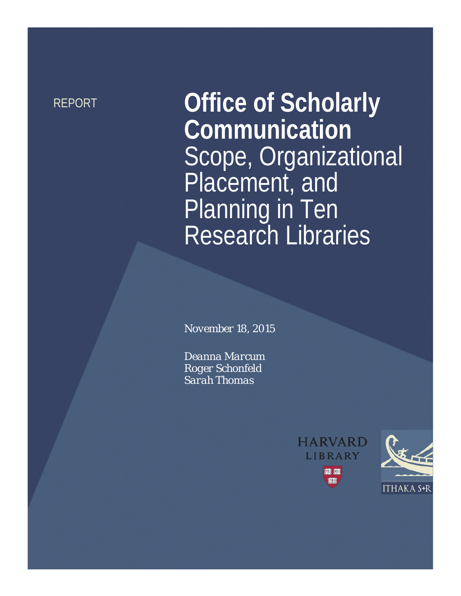REPORT **Office of Scholarly Communication** Scope, Organizational Placement, and Planning in Ten Research Libraries

*November 18, 2015*

*Deanna Marcum Roger Schonfeld Sarah Thomas*



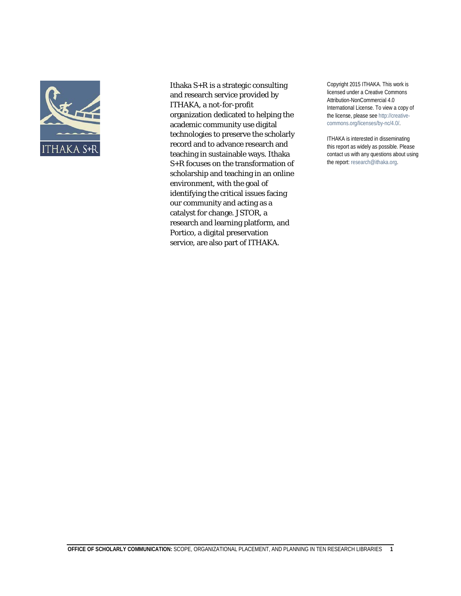

Ithaka S+R is a strategic consulting and research service provided by ITHAKA, a not-for-profit organization dedicated to helping the academic community use digital technologies to preserve the scholarly record and to advance research and teaching in sustainable ways. Ithaka S+R focuses on the transformation of scholarship and teaching in an online environment, with the goal of identifying the critical issues facing our community and acting as a catalyst for change. JSTOR, a research and learning platform, and Portico, a digital preservation service, are also part of ITHAKA.

Copyright 2015 ITHAKA. This work is licensed under a Creative Commons Attribution-NonCommercial 4.0 International License. To view a copy of the license, please see http://creativecommons.org/licenses/by-nc/4.0/.

ITHAKA is interested in disseminating this report as widely as possible. Please contact us with any questions about using the report: research@ithaka.org.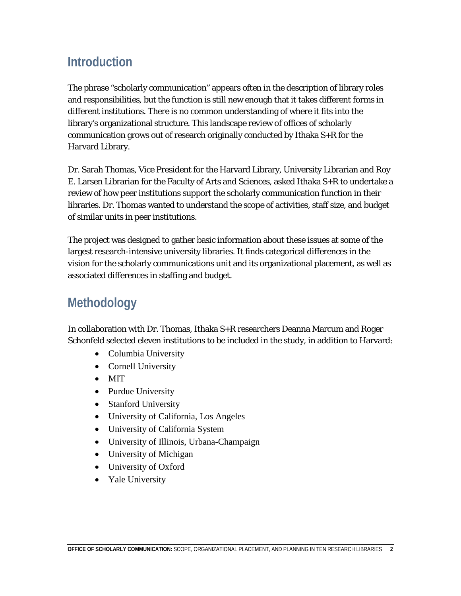# **Introduction**

The phrase "scholarly communication" appears often in the description of library roles and responsibilities, but the function is still new enough that it takes different forms in different institutions. There is no common understanding of where it fits into the library's organizational structure. This landscape review of offices of scholarly communication grows out of research originally conducted by Ithaka S+R for the Harvard Library.

Dr. Sarah Thomas, Vice President for the Harvard Library, University Librarian and Roy E. Larsen Librarian for the Faculty of Arts and Sciences, asked Ithaka S+R to undertake a review of how peer institutions support the scholarly communication function in their libraries. Dr. Thomas wanted to understand the scope of activities, staff size, and budget of similar units in peer institutions.

The project was designed to gather basic information about these issues at some of the largest research-intensive university libraries. It finds categorical differences in the vision for the scholarly communications unit and its organizational placement, as well as associated differences in staffing and budget.

# **Methodology**

In collaboration with Dr. Thomas, Ithaka S+R researchers Deanna Marcum and Roger Schonfeld selected eleven institutions to be included in the study, in addition to Harvard:

- Columbia University
- Cornell University
- MIT
- Purdue University
- Stanford University
- University of California, Los Angeles
- University of California System
- University of Illinois, Urbana-Champaign
- University of Michigan
- University of Oxford
- Yale University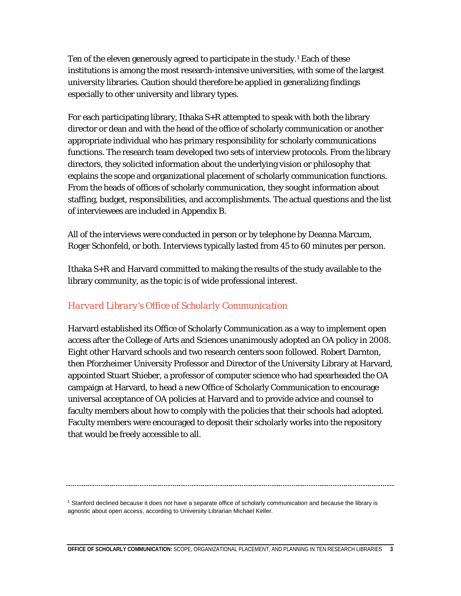Ten of the eleven generously agreed to participate in the study.<sup>[1](#page-3-0)</sup> Each of these institutions is among the most research-intensive universities, with some of the largest university libraries. Caution should therefore be applied in generalizing findings especially to other university and library types.

For each participating library, Ithaka S+R attempted to speak with both the library director or dean and with the head of the office of scholarly communication or another appropriate individual who has primary responsibility for scholarly communications functions. The research team developed two sets of interview protocols. From the library directors, they solicited information about the underlying vision or philosophy that explains the scope and organizational placement of scholarly communication functions. From the heads of offices of scholarly communication, they sought information about staffing, budget, responsibilities, and accomplishments. The actual questions and the list of interviewees are included in Appendix B.

All of the interviews were conducted in person or by telephone by Deanna Marcum, Roger Schonfeld, or both. Interviews typically lasted from 45 to 60 minutes per person.

Ithaka S+R and Harvard committed to making the results of the study available to the library community, as the topic is of wide professional interest.

### *Harvard Library's Office of Scholarly Communication*

Harvard established its Office of Scholarly Communication as a way to implement open access after the College of Arts and Sciences unanimously adopted an OA policy in 2008. Eight other Harvard schools and two research centers soon followed. Robert Darnton, then Pforzheimer University Professor and Director of the University Library at Harvard, appointed Stuart Shieber, a professor of computer science who had spearheaded the OA campaign at Harvard, to head a new Office of Scholarly Communication to encourage universal acceptance of OA policies at Harvard and to provide advice and counsel to faculty members about how to comply with the policies that their schools had adopted. Faculty members were encouraged to deposit their scholarly works into the repository that would be freely accessible to all.

<span id="page-3-0"></span><sup>1</sup> Stanford declined because it does not have a separate office of scholarly communication and because the library is agnostic about open access, according to University Librarian Michael Keller.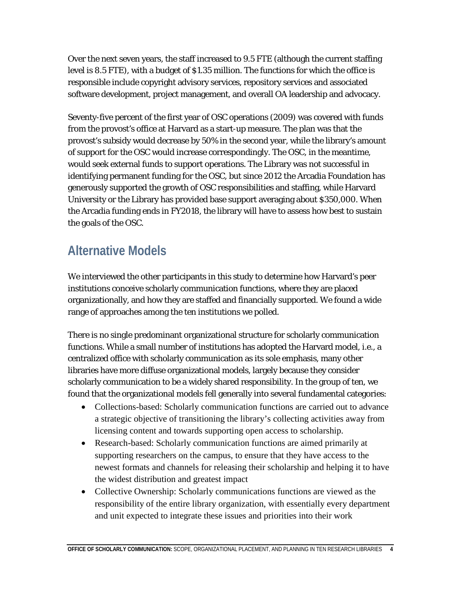Over the next seven years, the staff increased to 9.5 FTE (although the current staffing level is 8.5 FTE), with a budget of \$1.35 million. The functions for which the office is responsible include copyright advisory services, repository services and associated software development, project management, and overall OA leadership and advocacy.

Seventy-five percent of the first year of OSC operations (2009) was covered with funds from the provost's office at Harvard as a start-up measure. The plan was that the provost's subsidy would decrease by 50% in the second year, while the library's amount of support for the OSC would increase correspondingly. The OSC, in the meantime, would seek external funds to support operations. The Library was not successful in identifying permanent funding for the OSC, but since 2012 the Arcadia Foundation has generously supported the growth of OSC responsibilities and staffing, while Harvard University or the Library has provided base support averaging about \$350,000. When the Arcadia funding ends in FY2018, the library will have to assess how best to sustain the goals of the OSC.

# **Alternative Models**

We interviewed the other participants in this study to determine how Harvard's peer institutions conceive scholarly communication functions, where they are placed organizationally, and how they are staffed and financially supported. We found a wide range of approaches among the ten institutions we polled.

There is no single predominant organizational structure for scholarly communication functions. While a small number of institutions has adopted the Harvard model, i.e., a centralized office with scholarly communication as its sole emphasis, many other libraries have more diffuse organizational models, largely because they consider scholarly communication to be a widely shared responsibility. In the group of ten, we found that the organizational models fell generally into several fundamental categories:

- Collections-based: Scholarly communication functions are carried out to advance a strategic objective of transitioning the library's collecting activities away from licensing content and towards supporting open access to scholarship.
- Research-based: Scholarly communication functions are aimed primarily at supporting researchers on the campus, to ensure that they have access to the newest formats and channels for releasing their scholarship and helping it to have the widest distribution and greatest impact
- Collective Ownership: Scholarly communications functions are viewed as the responsibility of the entire library organization, with essentially every department and unit expected to integrate these issues and priorities into their work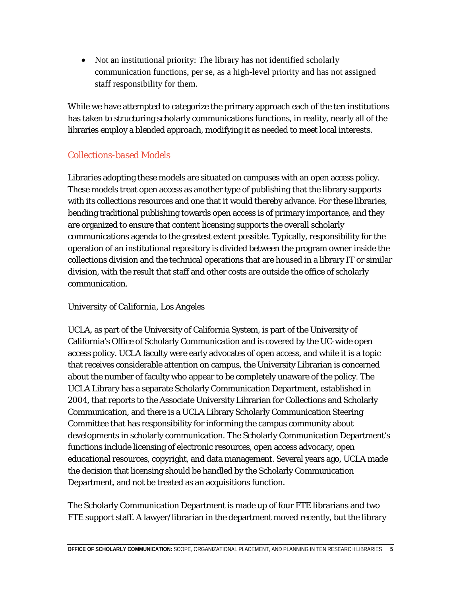• Not an institutional priority: The library has not identified scholarly communication functions, per se, as a high-level priority and has not assigned staff responsibility for them.

While we have attempted to categorize the primary approach each of the ten institutions has taken to structuring scholarly communications functions, in reality, nearly all of the libraries employ a blended approach, modifying it as needed to meet local interests.

### *Collections-based Models*

Libraries adopting these models are situated on campuses with an open access policy. These models treat open access as another type of publishing that the library supports with its collections resources and one that it would thereby advance. For these libraries, bending traditional publishing towards open access is of primary importance, and they are organized to ensure that content licensing supports the overall scholarly communications agenda to the greatest extent possible. Typically, responsibility for the operation of an institutional repository is divided between the program owner inside the collections division and the technical operations that are housed in a library IT or similar division, with the result that staff and other costs are outside the office of scholarly communication.

### *University of California, Los Angeles*

UCLA, as part of the University of California System, is part of the University of California's Office of Scholarly Communication and is covered by the UC-wide open access policy. UCLA faculty were early advocates of open access, and while it is a topic that receives considerable attention on campus, the University Librarian is concerned about the number of faculty who appear to be completely unaware of the policy. The UCLA Library has a separate Scholarly Communication Department, established in 2004, that reports to the Associate University Librarian for Collections and Scholarly Communication, and there is a UCLA Library Scholarly Communication Steering Committee that has responsibility for informing the campus community about developments in scholarly communication. The Scholarly Communication Department's functions include licensing of electronic resources, open access advocacy, open educational resources, copyright, and data management. Several years ago, UCLA made the decision that licensing should be handled by the Scholarly Communication Department, and not be treated as an acquisitions function.

The Scholarly Communication Department is made up of four FTE librarians and two FTE support staff. A lawyer/librarian in the department moved recently, but the library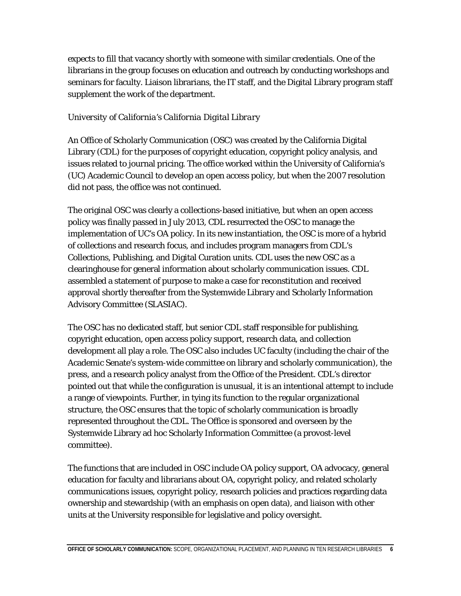expects to fill that vacancy shortly with someone with similar credentials. One of the librarians in the group focuses on education and outreach by conducting workshops and seminars for faculty. Liaison librarians, the IT staff, and the Digital Library program staff supplement the work of the department.

#### *University of California's California Digital Library*

An Office of Scholarly Communication (OSC) was created by the California Digital Library (CDL) for the purposes of copyright education, copyright policy analysis, and issues related to journal pricing. The office worked within the University of California's (UC) Academic Council to develop an open access policy, but when the 2007 resolution did not pass, the office was not continued.

The original OSC was clearly a collections-based initiative, but when an open access policy was finally passed in July 2013, CDL resurrected the OSC to manage the implementation of UC's OA policy. In its new instantiation, the OSC is more of a hybrid of collections and research focus, and includes program managers from CDL's Collections, Publishing, and Digital Curation units. CDL uses the new OSC as a clearinghouse for general information about scholarly communication issues. CDL assembled a statement of purpose to make a case for reconstitution and received approval shortly thereafter from the Systemwide Library and Scholarly Information Advisory Committee (SLASIAC).

The OSC has no dedicated staff, but senior CDL staff responsible for publishing, copyright education, open access policy support, research data, and collection development all play a role. The OSC also includes UC faculty (including the chair of the Academic Senate's system-wide committee on library and scholarly communication), the press, and a research policy analyst from the Office of the President. CDL's director pointed out that while the configuration is unusual, it is an intentional attempt to include a range of viewpoints. Further, in tying its function to the regular organizational structure, the OSC ensures that the topic of scholarly communication is broadly represented throughout the CDL. The Office is sponsored and overseen by the Systemwide Library ad hoc Scholarly Information Committee (a provost-level committee).

The functions that are included in OSC include OA policy support, OA advocacy, general education for faculty and librarians about OA, copyright policy, and related scholarly communications issues, copyright policy, research policies and practices regarding data ownership and stewardship (with an emphasis on open data), and liaison with other units at the University responsible for legislative and policy oversight.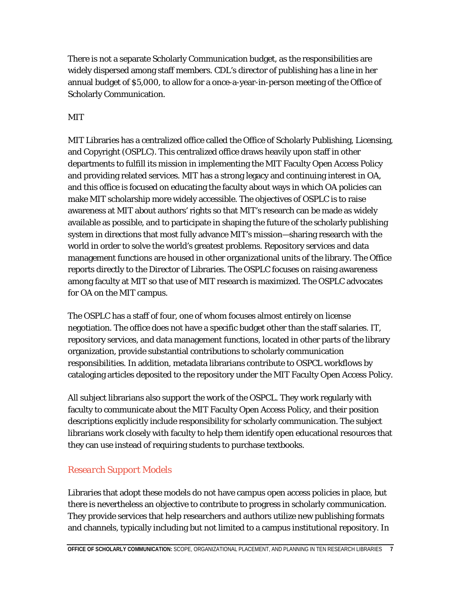There is not a separate Scholarly Communication budget, as the responsibilities are widely dispersed among staff members. CDL's director of publishing has a line in her annual budget of \$5,000, to allow for a once-a-year-in-person meeting of the Office of Scholarly Communication.

### *MIT*

MIT Libraries has a centralized office called the Office of Scholarly Publishing, Licensing, and Copyright (OSPLC). This centralized office draws heavily upon staff in other departments to fulfill its mission in implementing the MIT Faculty Open Access Policy and providing related services. MIT has a strong legacy and continuing interest in OA, and this office is focused on educating the faculty about ways in which OA policies can make MIT scholarship more widely accessible. The objectives of OSPLC is to raise awareness at MIT about authors' rights so that MIT's research can be made as widely available as possible, and to participate in shaping the future of the scholarly publishing system in directions that most fully advance MIT's mission—sharing research with the world in order to solve the world's greatest problems. Repository services and data management functions are housed in other organizational units of the library. The Office reports directly to the Director of Libraries. The OSPLC focuses on raising awareness among faculty at MIT so that use of MIT research is maximized. The OSPLC advocates for OA on the MIT campus.

The OSPLC has a staff of four, one of whom focuses almost entirely on license negotiation. The office does not have a specific budget other than the staff salaries. IT, repository services, and data management functions, located in other parts of the library organization, provide substantial contributions to scholarly communication responsibilities. In addition, metadata librarians contribute to OSPCL workflows by cataloging articles deposited to the repository under the MIT Faculty Open Access Policy.

All subject librarians also support the work of the OSPCL. They work regularly with faculty to communicate about the MIT Faculty Open Access Policy, and their position descriptions explicitly include responsibility for scholarly communication. The subject librarians work closely with faculty to help them identify open educational resources that they can use instead of requiring students to purchase textbooks.

### *Research Support Models*

Libraries that adopt these models do not have campus open access policies in place, but there is nevertheless an objective to contribute to progress in scholarly communication. They provide services that help researchers and authors utilize new publishing formats and channels, typically including but not limited to a campus institutional repository. In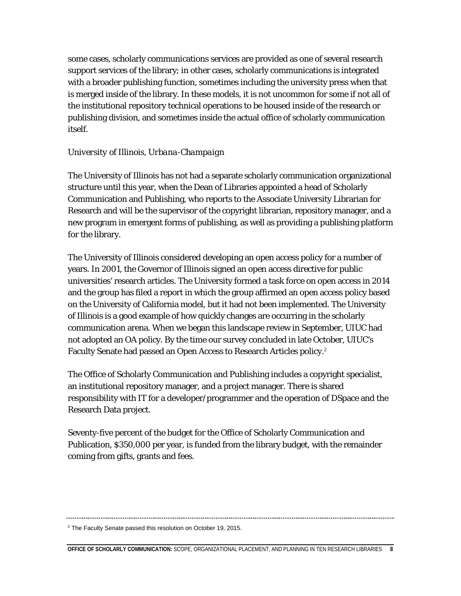some cases, scholarly communications services are provided as one of several research support services of the library; in other cases, scholarly communications is integrated with a broader publishing function, sometimes including the university press when that is merged inside of the library. In these models, it is not uncommon for some if not all of the institutional repository technical operations to be housed inside of the research or publishing division, and sometimes inside the actual office of scholarly communication itself.

#### *University of Illinois, Urbana-Champaign*

The University of Illinois has not had a separate scholarly communication organizational structure until this year, when the Dean of Libraries appointed a head of Scholarly Communication and Publishing, who reports to the Associate University Librarian for Research and will be the supervisor of the copyright librarian, repository manager, and a new program in emergent forms of publishing, as well as providing a publishing platform for the library.

The University of Illinois considered developing an open access policy for a number of years. In 2001, the Governor of Illinois signed an open access directive for public universities' research articles. The University formed a task force on open access in 2014 and the group has filed a report in which the group affirmed an open access policy based on the University of California model, but it had not been implemented. The University of Illinois is a good example of how quickly changes are occurring in the scholarly communication arena. When we began this landscape review in September, UIUC had not adopted an OA policy. By the time our survey concluded in late October, UIUC's Faculty Senate had passed an Open Access to Research Articles policy.<sup>[2](#page-8-0)</sup>

The Office of Scholarly Communication and Publishing includes a copyright specialist, an institutional repository manager, and a project manager. There is shared responsibility with IT for a developer/programmer and the operation of DSpace and the Research Data project.

Seventy-five percent of the budget for the Office of Scholarly Communication and Publication, \$350,000 per year, is funded from the library budget, with the remainder coming from gifts, grants and fees.

<span id="page-8-0"></span><sup>2</sup> The Faculty Senate passed this resolution on October 19, 2015.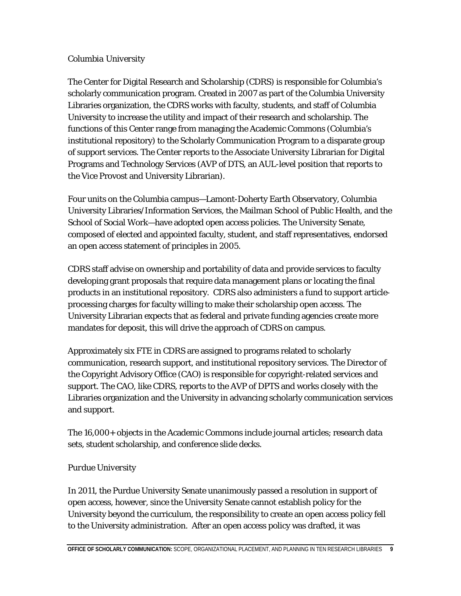#### *Columbia University*

The Center for Digital Research and Scholarship (CDRS) is responsible for Columbia's scholarly communication program. Created in 2007 as part of the Columbia University Libraries organization, the CDRS works with faculty, students, and staff of Columbia University to increase the utility and impact of their research and scholarship. The functions of this Center range from managing the Academic Commons (Columbia's institutional repository) to the Scholarly Communication Program to a disparate group of support services. The Center reports to the Associate University Librarian for Digital Programs and Technology Services (AVP of DTS, an AUL-level position that reports to the Vice Provost and University Librarian).

Four units on the Columbia campus—Lamont-Doherty Earth Observatory, Columbia University Libraries/Information Services, the Mailman School of Public Health, and the School of Social Work—have adopted open access policies. The University Senate, composed of elected and appointed faculty, student, and staff representatives, endorsed an open access statement of principles in 2005.

CDRS staff advise on ownership and portability of data and provide services to faculty developing grant proposals that require data management plans or locating the final products in an institutional repository. CDRS also administers a fund to support articleprocessing charges for faculty willing to make their scholarship open access. The University Librarian expects that as federal and private funding agencies create more mandates for deposit, this will drive the approach of CDRS on campus.

Approximately six FTE in CDRS are assigned to programs related to scholarly communication, research support, and institutional repository services. The Director of the Copyright Advisory Office (CAO) is responsible for copyright-related services and support. The CAO, like CDRS, reports to the AVP of DPTS and works closely with the Libraries organization and the University in advancing scholarly communication services and support.

The 16,000+ objects in the Academic Commons include journal articles; research data sets, student scholarship, and conference slide decks.

### *Purdue University*

In 2011, the Purdue University Senate unanimously passed a resolution in support of open access, however, since the University Senate cannot establish policy for the University beyond the curriculum, the responsibility to create an open access policy fell to the University administration. After an open access policy was drafted, it was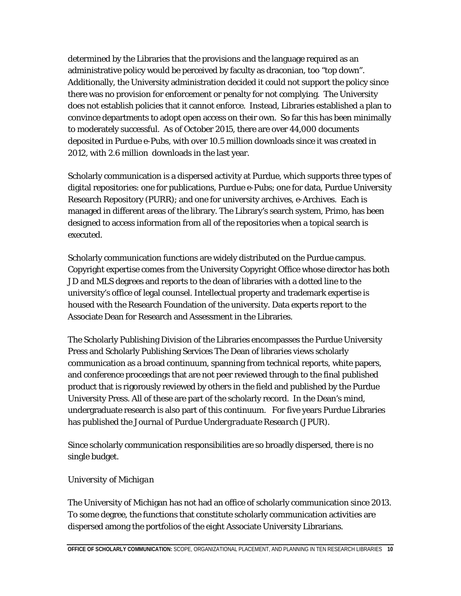determined by the Libraries that the provisions and the language required as an administrative policy would be perceived by faculty as draconian, too "top down". Additionally, the University administration decided it could not support the policy since there was no provision for enforcement or penalty for not complying. The University does not establish policies that it cannot enforce. Instead, Libraries established a plan to convince departments to adopt open access on their own. So far this has been minimally to moderately successful. As of October 2015, there are over 44,000 documents deposited in Purdue e-Pubs, with over 10.5 million downloads since it was created in 2012, with 2.6 million downloads in the last year.

Scholarly communication is a dispersed activity at Purdue, which supports three types of digital repositories: one for publications, Purdue e-Pubs; one for data, Purdue University Research Repository (PURR); and one for university archives, e-Archives. Each is managed in different areas of the library. The Library's search system, Primo, has been designed to access information from all of the repositories when a topical search is executed.

Scholarly communication functions are widely distributed on the Purdue campus. Copyright expertise comes from the University Copyright Office whose director has both JD and MLS degrees and reports to the dean of libraries with a dotted line to the university's office of legal counsel. Intellectual property and trademark expertise is housed with the Research Foundation of the university. Data experts report to the Associate Dean for Research and Assessment in the Libraries.

The Scholarly Publishing Division of the Libraries encompasses the Purdue University Press and Scholarly Publishing Services The Dean of libraries views scholarly communication as a broad continuum, spanning from technical reports, white papers, and conference proceedings that are not peer reviewed through to the final published product that is rigorously reviewed by others in the field and published by the Purdue University Press. All of these are part of the scholarly record. In the Dean's mind, undergraduate research is also part of this continuum. For five years Purdue Libraries has published the *Journal of Purdue Undergraduate Research* (JPUR).

Since scholarly communication responsibilities are so broadly dispersed, there is no single budget.

#### *University of Michigan*

The University of Michigan has not had an office of scholarly communication since 2013. To some degree, the functions that constitute scholarly communication activities are dispersed among the portfolios of the eight Associate University Librarians.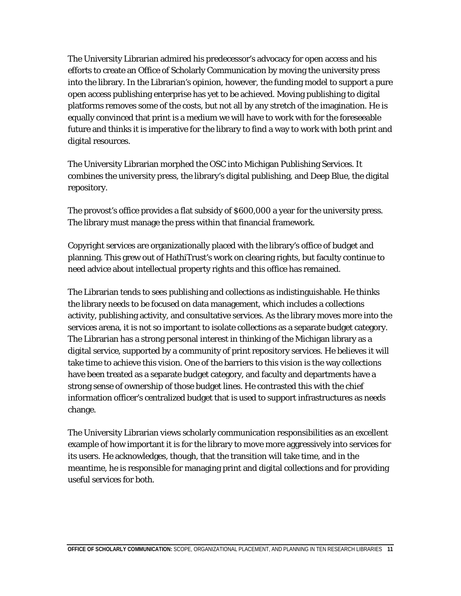The University Librarian admired his predecessor's advocacy for open access and his efforts to create an Office of Scholarly Communication by moving the university press into the library. In the Librarian's opinion, however, the funding model to support a pure open access publishing enterprise has yet to be achieved. Moving publishing to digital platforms removes some of the costs, but not all by any stretch of the imagination. He is equally convinced that print is a medium we will have to work with for the foreseeable future and thinks it is imperative for the library to find a way to work with both print and digital resources.

The University Librarian morphed the OSC into Michigan Publishing Services. It combines the university press, the library's digital publishing, and Deep Blue, the digital repository.

The provost's office provides a flat subsidy of \$600,000 a year for the university press. The library must manage the press within that financial framework.

Copyright services are organizationally placed with the library's office of budget and planning. This grew out of HathiTrust's work on clearing rights, but faculty continue to need advice about intellectual property rights and this office has remained.

The Librarian tends to sees publishing and collections as indistinguishable. He thinks the library needs to be focused on data management, which includes a collections activity, publishing activity, and consultative services. As the library moves more into the services arena, it is not so important to isolate collections as a separate budget category. The Librarian has a strong personal interest in thinking of the Michigan library as a digital service, supported by a community of print repository services. He believes it will take time to achieve this vision. One of the barriers to this vision is the way collections have been treated as a separate budget category, and faculty and departments have a strong sense of ownership of those budget lines. He contrasted this with the chief information officer's centralized budget that is used to support infrastructures as needs change.

The University Librarian views scholarly communication responsibilities as an excellent example of how important it is for the library to move more aggressively into services for its users. He acknowledges, though, that the transition will take time, and in the meantime, he is responsible for managing print and digital collections and for providing useful services for both.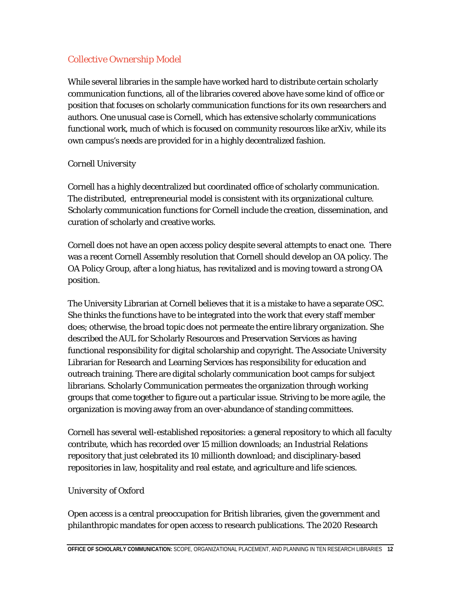### *Collective Ownership Model*

While several libraries in the sample have worked hard to distribute certain scholarly communication functions, all of the libraries covered above have some kind of office or position that focuses on scholarly communication functions for its own researchers and authors. One unusual case is Cornell, which has extensive scholarly communications functional work, much of which is focused on community resources like arXiv, while its own campus's needs are provided for in a highly decentralized fashion.

#### *Cornell University*

Cornell has a highly decentralized but coordinated office of scholarly communication. The distributed, entrepreneurial model is consistent with its organizational culture. Scholarly communication functions for Cornell include the creation, dissemination, and curation of scholarly and creative works.

Cornell does not have an open access policy despite several attempts to enact one. There was a recent Cornell Assembly resolution that Cornell should develop an OA policy. The OA Policy Group, after a long hiatus, has revitalized and is moving toward a strong OA position.

The University Librarian at Cornell believes that it is a mistake to have a separate OSC. She thinks the functions have to be integrated into the work that every staff member does; otherwise, the broad topic does not permeate the entire library organization. She described the AUL for Scholarly Resources and Preservation Services as having functional responsibility for digital scholarship and copyright. The Associate University Librarian for Research and Learning Services has responsibility for education and outreach training. There are digital scholarly communication boot camps for subject librarians. Scholarly Communication permeates the organization through working groups that come together to figure out a particular issue. Striving to be more agile, the organization is moving away from an over-abundance of standing committees.

Cornell has several well-established repositories: a general repository to which all faculty contribute, which has recorded over 15 million downloads; an Industrial Relations repository that just celebrated its 10 millionth download; and disciplinary-based repositories in law, hospitality and real estate, and agriculture and life sciences.

#### *University of Oxford*

Open access is a central preoccupation for British libraries, given the government and philanthropic mandates for open access to research publications. The 2020 Research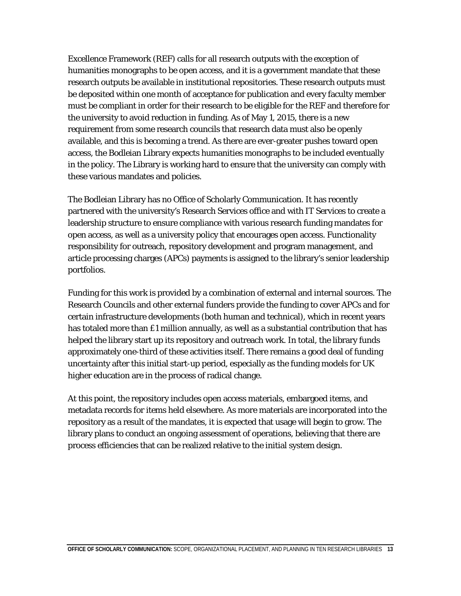Excellence Framework (REF) calls for all research outputs with the exception of humanities monographs to be open access, and it is a government mandate that these research outputs be available in institutional repositories. These research outputs must be deposited within one month of acceptance for publication and every faculty member must be compliant in order for their research to be eligible for the REF and therefore for the university to avoid reduction in funding. As of May 1, 2015, there is a new requirement from some research councils that research data must also be openly available, and this is becoming a trend. As there are ever-greater pushes toward open access, the Bodleian Library expects humanities monographs to be included eventually in the policy. The Library is working hard to ensure that the university can comply with these various mandates and policies.

The Bodleian Library has no Office of Scholarly Communication. It has recently partnered with the university's Research Services office and with IT Services to create a leadership structure to ensure compliance with various research funding mandates for open access, as well as a university policy that encourages open access. Functionality responsibility for outreach, repository development and program management, and article processing charges (APCs) payments is assigned to the library's senior leadership portfolios.

Funding for this work is provided by a combination of external and internal sources. The Research Councils and other external funders provide the funding to cover APCs and for certain infrastructure developments (both human and technical), which in recent years has totaled more than £1 million annually, as well as a substantial contribution that has helped the library start up its repository and outreach work. In total, the library funds approximately one-third of these activities itself. There remains a good deal of funding uncertainty after this initial start-up period, especially as the funding models for UK higher education are in the process of radical change.

At this point, the repository includes open access materials, embargoed items, and metadata records for items held elsewhere. As more materials are incorporated into the repository as a result of the mandates, it is expected that usage will begin to grow. The library plans to conduct an ongoing assessment of operations, believing that there are process efficiencies that can be realized relative to the initial system design.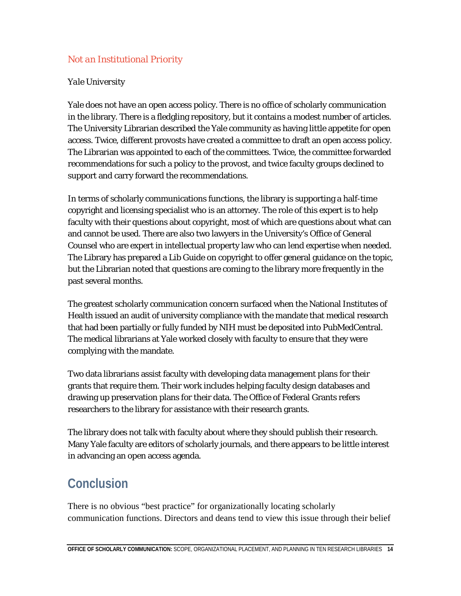### *Not an Institutional Priority*

#### *Yale University*

Yale does not have an open access policy. There is no office of scholarly communication in the library. There is a fledgling repository, but it contains a modest number of articles. The University Librarian described the Yale community as having little appetite for open access. Twice, different provosts have created a committee to draft an open access policy. The Librarian was appointed to each of the committees. Twice, the committee forwarded recommendations for such a policy to the provost, and twice faculty groups declined to support and carry forward the recommendations.

In terms of scholarly communications functions, the library is supporting a half-time copyright and licensing specialist who is an attorney. The role of this expert is to help faculty with their questions about copyright, most of which are questions about what can and cannot be used. There are also two lawyers in the University's Office of General Counsel who are expert in intellectual property law who can lend expertise when needed. The Library has prepared a Lib Guide on copyright to offer general guidance on the topic, but the Librarian noted that questions are coming to the library more frequently in the past several months.

The greatest scholarly communication concern surfaced when the National Institutes of Health issued an audit of university compliance with the mandate that medical research that had been partially or fully funded by NIH must be deposited into PubMedCentral. The medical librarians at Yale worked closely with faculty to ensure that they were complying with the mandate.

Two data librarians assist faculty with developing data management plans for their grants that require them. Their work includes helping faculty design databases and drawing up preservation plans for their data. The Office of Federal Grants refers researchers to the library for assistance with their research grants.

The library does not talk with faculty about where they should publish their research. Many Yale faculty are editors of scholarly journals, and there appears to be little interest in advancing an open access agenda.

# **Conclusion**

There is no obvious "best practice" for organizationally locating scholarly communication functions. Directors and deans tend to view this issue through their belief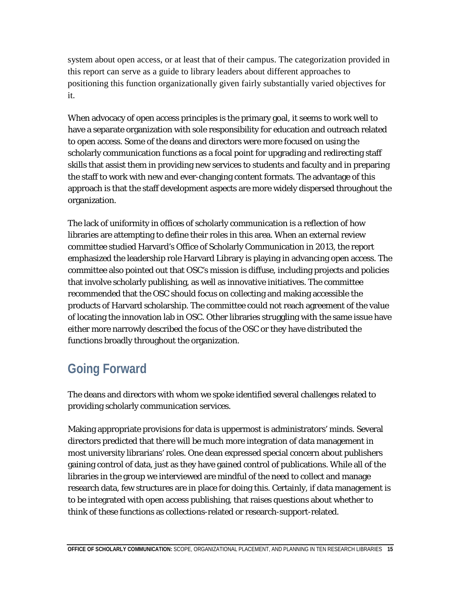system about open access, or at least that of their campus. The categorization provided in this report can serve as a guide to library leaders about different approaches to positioning this function organizationally given fairly substantially varied objectives for it.

When advocacy of open access principles is the primary goal, it seems to work well to have a separate organization with sole responsibility for education and outreach related to open access. Some of the deans and directors were more focused on using the scholarly communication functions as a focal point for upgrading and redirecting staff skills that assist them in providing new services to students and faculty and in preparing the staff to work with new and ever-changing content formats. The advantage of this approach is that the staff development aspects are more widely dispersed throughout the organization.

The lack of uniformity in offices of scholarly communication is a reflection of how libraries are attempting to define their roles in this area. When an external review committee studied Harvard's Office of Scholarly Communication in 2013, the report emphasized the leadership role Harvard Library is playing in advancing open access. The committee also pointed out that OSC's mission is diffuse, including projects and policies that involve scholarly publishing, as well as innovative initiatives. The committee recommended that the OSC should focus on collecting and making accessible the products of Harvard scholarship. The committee could not reach agreement of the value of locating the innovation lab in OSC. Other libraries struggling with the same issue have either more narrowly described the focus of the OSC or they have distributed the functions broadly throughout the organization.

# **Going Forward**

The deans and directors with whom we spoke identified several challenges related to providing scholarly communication services.

Making appropriate provisions for data is uppermost is administrators' minds. Several directors predicted that there will be much more integration of data management in most university librarians' roles. One dean expressed special concern about publishers gaining control of data, just as they have gained control of publications. While all of the libraries in the group we interviewed are mindful of the need to collect and manage research data, few structures are in place for doing this. Certainly, if data management is to be integrated with open access publishing, that raises questions about whether to think of these functions as collections-related or research-support-related.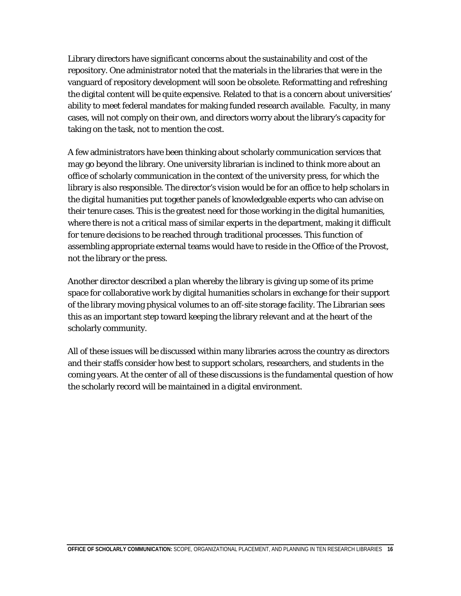Library directors have significant concerns about the sustainability and cost of the repository. One administrator noted that the materials in the libraries that were in the vanguard of repository development will soon be obsolete. Reformatting and refreshing the digital content will be quite expensive. Related to that is a concern about universities' ability to meet federal mandates for making funded research available. Faculty, in many cases, will not comply on their own, and directors worry about the library's capacity for taking on the task, not to mention the cost.

A few administrators have been thinking about scholarly communication services that may go beyond the library. One university librarian is inclined to think more about an office of scholarly communication in the context of the university press, for which the library is also responsible. The director's vision would be for an office to help scholars in the digital humanities put together panels of knowledgeable experts who can advise on their tenure cases. This is the greatest need for those working in the digital humanities, where there is not a critical mass of similar experts in the department, making it difficult for tenure decisions to be reached through traditional processes. This function of assembling appropriate external teams would have to reside in the Office of the Provost, not the library or the press.

Another director described a plan whereby the library is giving up some of its prime space for collaborative work by digital humanities scholars in exchange for their support of the library moving physical volumes to an off-site storage facility. The Librarian sees this as an important step toward keeping the library relevant and at the heart of the scholarly community.

All of these issues will be discussed within many libraries across the country as directors and their staffs consider how best to support scholars, researchers, and students in the coming years. At the center of all of these discussions is the fundamental question of how the scholarly record will be maintained in a digital environment.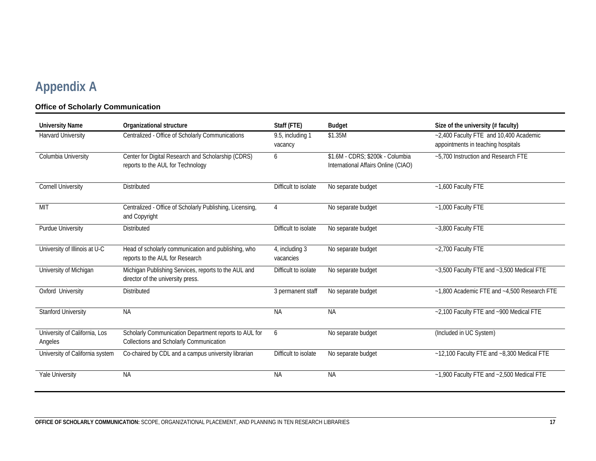# **Appendix A**

#### **Office of Scholarly Communication**

| <b>University Name</b>                   | Organizational structure                                                                         | Staff (FTE)                 | <b>Budget</b>                                                           | Size of the university (# faculty)                                           |
|------------------------------------------|--------------------------------------------------------------------------------------------------|-----------------------------|-------------------------------------------------------------------------|------------------------------------------------------------------------------|
| <b>Harvard University</b>                | Centralized - Office of Scholarly Communications                                                 | 9.5, including 1<br>vacancy | \$1.35M                                                                 | ~2,400 Faculty FTE and 10,400 Academic<br>appointments in teaching hospitals |
| Columbia University                      | Center for Digital Research and Scholarship (CDRS)<br>reports to the AUL for Technology          | 6                           | \$1.6M - CDRS; \$200k - Columbia<br>International Affairs Online (CIAO) | ~5,700 Instruction and Research FTE                                          |
| <b>Cornell University</b>                | <b>Distributed</b>                                                                               | Difficult to isolate        | No separate budget                                                      | $-1,600$ Faculty FTE                                                         |
| MIT                                      | Centralized - Office of Scholarly Publishing, Licensing,<br>and Copyright                        | 4                           | No separate budget                                                      | ~1,000 Faculty FTE                                                           |
| <b>Purdue University</b>                 | <b>Distributed</b>                                                                               | Difficult to isolate        | No separate budget                                                      | ~3,800 Faculty FTE                                                           |
| University of Illinois at U-C            | Head of scholarly communication and publishing, who<br>reports to the AUL for Research           | 4, including 3<br>vacancies | No separate budget                                                      | ~2,700 Faculty FTE                                                           |
| University of Michigan                   | Michigan Publishing Services, reports to the AUL and<br>director of the university press.        | Difficult to isolate        | No separate budget                                                      | ~3,500 Faculty FTE and ~3,500 Medical FTE                                    |
| Oxford University                        | <b>Distributed</b>                                                                               | 3 permanent staff           | No separate budget                                                      | ~1,800 Academic FTE and ~4,500 Research FTE                                  |
| <b>Stanford University</b>               | <b>NA</b>                                                                                        | <b>NA</b>                   | <b>NA</b>                                                               | ~2,100 Faculty FTE and ~900 Medical FTE                                      |
| University of California, Los<br>Angeles | Scholarly Communication Department reports to AUL for<br>Collections and Scholarly Communication | 6                           | No separate budget                                                      | (Included in UC System)                                                      |
| University of California system          | Co-chaired by CDL and a campus university librarian                                              | Difficult to isolate        | No separate budget                                                      | ~12,100 Faculty FTE and ~8,300 Medical FTE                                   |
| <b>Yale University</b>                   | <b>NA</b>                                                                                        | <b>NA</b>                   | <b>NA</b>                                                               | $~1,900$ Faculty FTE and $~2,500$ Medical FTE                                |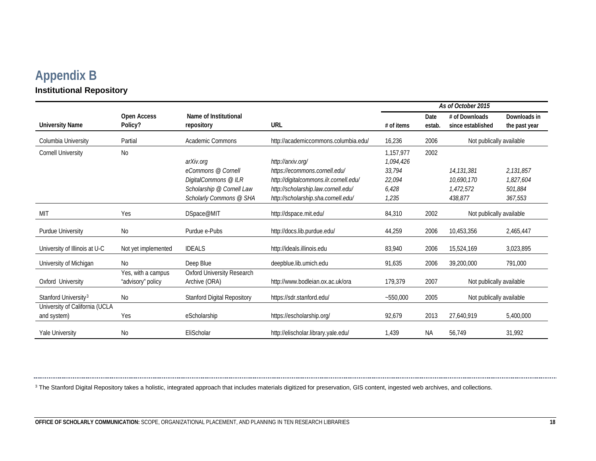## <span id="page-18-0"></span>**Appendix B Institutional Repository**

------------------------

|                                  |                        |                                     |                                        | As of October 2015                         |                |                                     |                               |
|----------------------------------|------------------------|-------------------------------------|----------------------------------------|--------------------------------------------|----------------|-------------------------------------|-------------------------------|
| <b>University Name</b>           | Open Access<br>Policy? | Name of Institutional<br>repository | <b>URL</b>                             | $#$ of items                               | Date<br>estab. | # of Downloads<br>since established | Downloads in<br>the past year |
| Columbia University              | Partial                | <b>Academic Commons</b>             | http://academiccommons.columbia.edu/   | 2006<br>Not publically available<br>16,236 |                |                                     |                               |
| <b>Cornell University</b>        | No                     |                                     |                                        | 1,157,977                                  | 2002           |                                     |                               |
|                                  |                        | arXiv.org                           | http://arxiv.org/                      | 1,094,426                                  |                |                                     |                               |
|                                  |                        | eCommons @ Cornell                  | https://ecommons.cornell.edu/          | 33,794                                     |                | 14, 131, 381                        | 2,131,857                     |
|                                  |                        | DigitalCommons @ ILR                | http://digitalcommons.ilr.cornell.edu/ | 22,094                                     |                | 10.690.170                          | 1,827,604                     |
|                                  |                        | Scholarship @ Cornell Law           | http://scholarship.law.cornell.edu/    | 6,428                                      |                | 1,472,572                           | 501.884                       |
|                                  |                        | Scholarly Commons @ SHA             | http://scholarship.sha.cornell.edu/    | 1,235                                      |                | 438,877                             | 367,553                       |
| <b>MIT</b>                       | Yes                    | DSpace@MIT                          | http://dspace.mit.edu/                 | 84,310                                     | 2002           | Not publically available            |                               |
| Purdue University                | <b>No</b>              | Purdue e-Pubs                       | http://docs.lib.purdue.edu/            | 44,259                                     | 2006           | 10,453,356                          | 2,465,447                     |
| University of Illinois at U-C    | Not yet implemented    | <b>IDEALS</b>                       | http://ideals.illinois.edu             | 83,940                                     | 2006           | 15,524,169                          | 3,023,895                     |
| University of Michigan           | No                     | Deep Blue                           | deepblue.lib.umich.edu                 | 91,635                                     | 2006           | 39,200,000                          | 791,000                       |
|                                  | Yes, with a campus     | <b>Oxford University Research</b>   |                                        |                                            |                |                                     |                               |
| Oxford University                | "advisory" policy      | Archive (ORA)                       | http://www.bodleian.ox.ac.uk/ora       | 179,379                                    | 2007           | Not publically available            |                               |
| Stanford University <sup>3</sup> | No                     | <b>Stanford Digital Repository</b>  | https://sdr.stanford.edu/              | $-550,000$                                 | 2005           | Not publically available            |                               |
| University of California (UCLA   |                        |                                     |                                        |                                            |                |                                     |                               |
| and system)                      | Yes                    | eScholarship                        | https://escholarship.org/              | 92,679                                     | 2013           | 27,640,919                          | 5,400,000                     |
| <b>Yale University</b>           | <b>No</b>              | EliScholar                          | http://elischolar.library.yale.edu/    | 1,439                                      | <b>NA</b>      | 56,749                              | 31,992                        |

<sup>3</sup> The Stanford Digital Repository takes a holistic, integrated approach that includes materials digitized for preservation, GIS content, ingested web archives, and collections.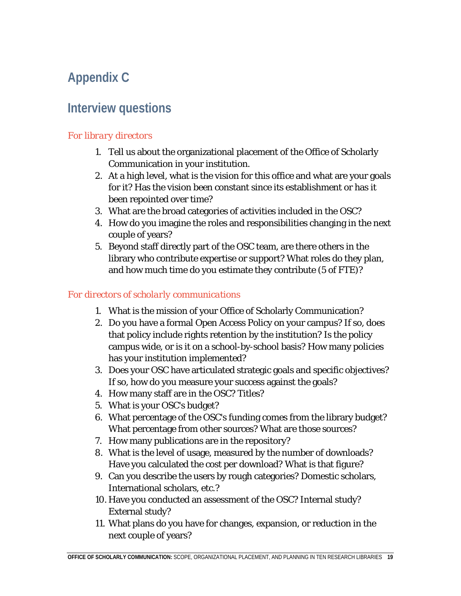# **Appendix C**

# **Interview questions**

### *For library directors*

- 1. Tell us about the organizational placement of the Office of Scholarly Communication in your institution.
- 2. At a high level, what is the vision for this office and what are your goals for it? Has the vision been constant since its establishment or has it been repointed over time?
- 3. What are the broad categories of activities included in the OSC?
- 4. How do you imagine the roles and responsibilities changing in the next couple of years?
- 5. Beyond staff directly part of the OSC team, are there others in the library who contribute expertise or support? What roles do they plan, and how much time do you estimate they contribute (5 of FTE)?

### *For directors of scholarly communications*

- 1. What is the mission of your Office of Scholarly Communication?
- 2. Do you have a formal Open Access Policy on your campus? If so, does that policy include rights retention by the institution? Is the policy campus wide, or is it on a school-by-school basis? How many policies has your institution implemented?
- 3. Does your OSC have articulated strategic goals and specific objectives? If so, how do you measure your success against the goals?
- 4. How many staff are in the OSC? Titles?
- 5. What is your OSC's budget?
- 6. What percentage of the OSC's funding comes from the library budget? What percentage from other sources? What are those sources?
- 7. How many publications are in the repository?
- 8. What is the level of usage, measured by the number of downloads? Have you calculated the cost per download? What is that figure?
- 9. Can you describe the users by rough categories? Domestic scholars, International scholars, etc.?
- 10. Have you conducted an assessment of the OSC? Internal study? External study?
- 11. What plans do you have for changes, expansion, or reduction in the next couple of years?